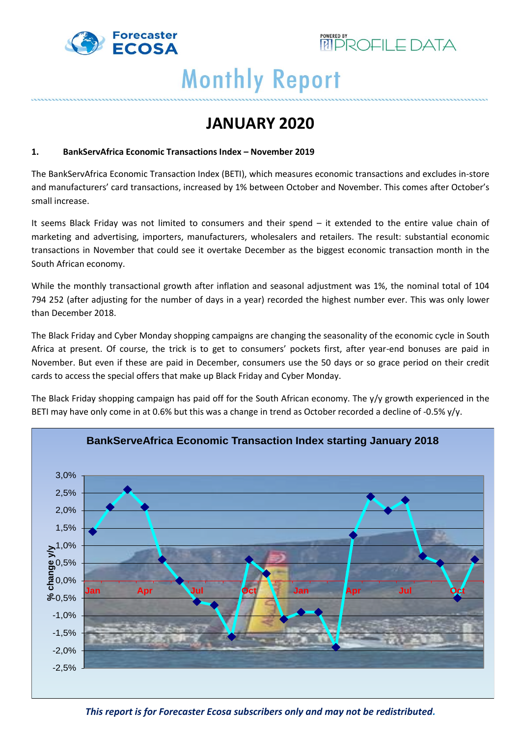



**JANUARY 2020**

#### **1. BankServAfrica Economic Transactions Index – November 2019**

The BankServAfrica Economic Transaction Index (BETI), which measures economic transactions and excludes in-store and manufacturers' card transactions, increased by 1% between October and November. This comes after October's small increase.

It seems Black Friday was not limited to consumers and their spend – it extended to the entire value chain of marketing and advertising, importers, manufacturers, wholesalers and retailers. The result: substantial economic transactions in November that could see it overtake December as the biggest economic transaction month in the South African economy.

While the monthly transactional growth after inflation and seasonal adjustment was 1%, the nominal total of 104 794 252 (after adjusting for the number of days in a year) recorded the highest number ever. This was only lower than December 2018.

The Black Friday and Cyber Monday shopping campaigns are changing the seasonality of the economic cycle in South Africa at present. Of course, the trick is to get to consumers' pockets first, after year-end bonuses are paid in November. But even if these are paid in December, consumers use the 50 days or so grace period on their credit cards to access the special offers that make up Black Friday and Cyber Monday.

The Black Friday shopping campaign has paid off for the South African economy. The y/y growth experienced in the BETI may have only come in at 0.6% but this was a change in trend as October recorded a decline of -0.5% y/y.

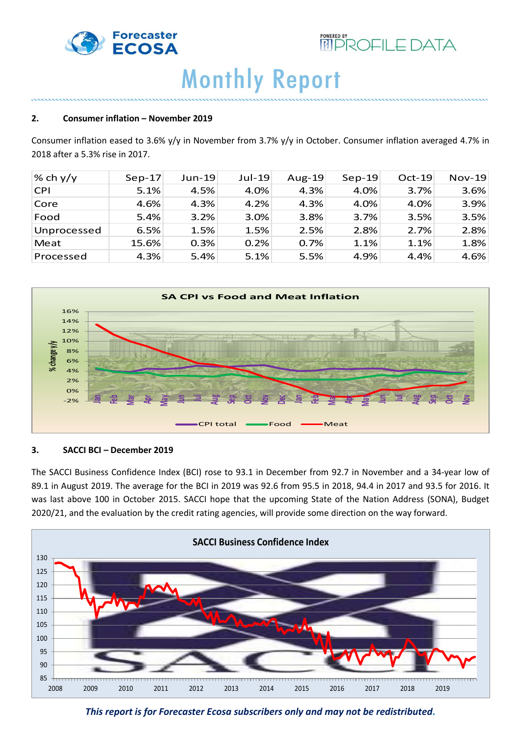



#### **2. Consumer inflation – November 2019**

Consumer inflation eased to 3.6% y/y in November from 3.7% y/y in October. Consumer inflation averaged 4.7% in 2018 after a 5.3% rise in 2017.

| % ch $y/y$  | $Sep-17$ | $Jun-19$ | $Jul-19$ | Aug-19 | $Sep-19$ | $Oct-19$ | $Nov-19$ |
|-------------|----------|----------|----------|--------|----------|----------|----------|
| <b>CPI</b>  | 5.1%     | 4.5%     | 4.0%     | 4.3%   | 4.0%     | 3.7%     | 3.6%     |
| Core        | 4.6%     | 4.3%     | 4.2%     | 4.3%   | 4.0%     | 4.0%     | 3.9%     |
| Food        | 5.4%     | 3.2%     | 3.0%     | 3.8%   | 3.7%     | 3.5%     | 3.5%     |
| Unprocessed | 6.5%     | 1.5%     | 1.5%     | 2.5%   | 2.8%     | 2.7%     | 2.8%     |
| Meat        | 15.6%    | 0.3%     | 0.2%     | 0.7%   | 1.1%     | 1.1%     | 1.8%     |
| Processed   | 4.3%     | 5.4%     | 5.1%     | 5.5%   | 4.9%     | 4.4%     | 4.6%     |



#### **3. SACCI BCI – December 2019**

The SACCI Business Confidence Index (BCI) rose to 93.1 in December from 92.7 in November and a 34-year low of 89.1 in August 2019. The average for the BCI in 2019 was 92.6 from 95.5 in 2018, 94.4 in 2017 and 93.5 for 2016. It was last above 100 in October 2015. SACCI hope that the upcoming State of the Nation Address (SONA), Budget 2020/21, and the evaluation by the credit rating agencies, will provide some direction on the way forward.



*This report is for Forecaster Ecosa subscribers only and may not be redistributed.*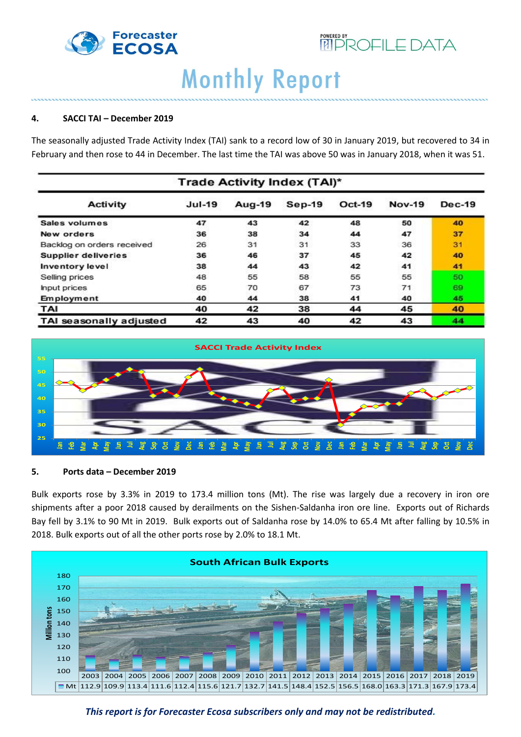



#### **4. SACCI TAI – December 2019**

The seasonally adjusted Trade Activity Index (TAI) sank to a record low of 30 in January 2019, but recovered to 34 in February and then rose to 44 in December. The last time the TAI was above 50 was in January 2018, when it was 51.

| Trade Activity Index (TAI)* |          |        |          |               |               |               |  |
|-----------------------------|----------|--------|----------|---------------|---------------|---------------|--|
| Activity                    | $Jul-19$ | Aug-19 | $Sep-19$ | <b>Oct-19</b> | <b>Nov-19</b> | <b>Dec-19</b> |  |
| Sales volumes               | 47       | 43     | 42       | 48            | 50            | 40            |  |
| New orders                  | 36       | 38     | 34       | 44            | 47            | 37            |  |
| Backlog on orders received  | 26       | 31     | 31       | 33            | 36            | 31            |  |
| <b>Supplier deliveries</b>  | 36       | 46     | 37       | 45            | 42            | 40            |  |
| Inventory level             | 38       | 44     | 43       | 42            | 41            | 41            |  |
| Selling prices              | 48       | 55     | 58       | 55            | 55            | 50            |  |
| <b>Input prices</b>         | 65       | 70     | 67       | 73            | 71            | 69            |  |
| Employment                  | 40       | 44     | 38       | 41            | 40            | 45            |  |
| TAI                         | 40       | 42     | 38       | 44            | 45            | 40            |  |
| TAI seasonally adjusted     | 42       | 43     | 40       | 42            | 43            | 44            |  |



#### **5. Ports data – December 2019**

Bulk exports rose by 3.3% in 2019 to 173.4 million tons (Mt). The rise was largely due a recovery in iron ore shipments after a poor 2018 caused by derailments on the Sishen-Saldanha iron ore line. Exports out of Richards Bay fell by 3.1% to 90 Mt in 2019. Bulk exports out of Saldanha rose by 14.0% to 65.4 Mt after falling by 10.5% in 2018. Bulk exports out of all the other ports rose by 2.0% to 18.1 Mt.



*This report is for Forecaster Ecosa subscribers only and may not be redistributed.*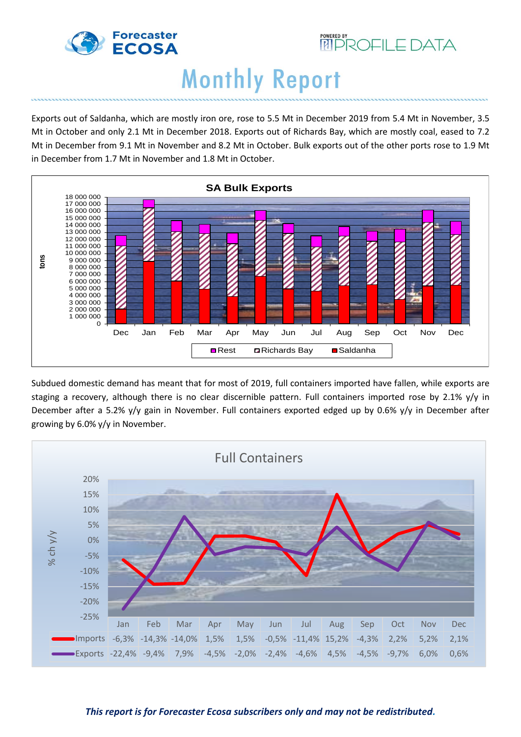



Exports out of Saldanha, which are mostly iron ore, rose to 5.5 Mt in December 2019 from 5.4 Mt in November, 3.5 Mt in October and only 2.1 Mt in December 2018. Exports out of Richards Bay, which are mostly coal, eased to 7.2 Mt in December from 9.1 Mt in November and 8.2 Mt in October. Bulk exports out of the other ports rose to 1.9 Mt in December from 1.7 Mt in November and 1.8 Mt in October.



Subdued domestic demand has meant that for most of 2019, full containers imported have fallen, while exports are staging a recovery, although there is no clear discernible pattern. Full containers imported rose by 2.1% y/y in December after a 5.2% y/y gain in November. Full containers exported edged up by 0.6% y/y in December after growing by 6.0% y/y in November.

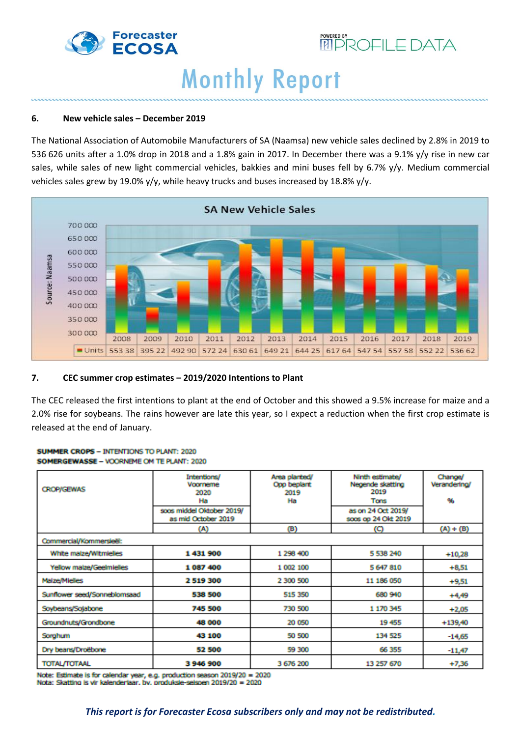



#### **6. New vehicle sales – December 2019**

The National Association of Automobile Manufacturers of SA (Naamsa) new vehicle sales declined by 2.8% in 2019 to 536 626 units after a 1.0% drop in 2018 and a 1.8% gain in 2017. In December there was a 9.1% y/y rise in new car sales, while sales of new light commercial vehicles, bakkies and mini buses fell by 6.7% y/y. Medium commercial vehicles sales grew by 19.0% y/y, while heavy trucks and buses increased by 18.8% y/y.



#### **7. CEC summer crop estimates – 2019/2020 Intentions to Plant**

The CEC released the first intentions to plant at the end of October and this showed a 9.5% increase for maize and a 2.0% rise for soybeans. The rains however are late this year, so I expect a reduction when the first crop estimate is released at the end of January.

#### SUMMER CROPS - INTENTIONS TO PLANT: 2020 SOMERGEWASSE - VOORNEME OM TE PLANT: 2020

| <b>CROP/GEWAS</b>            | Intentions/<br>Voorneme<br>2020<br>Ha            | Area planted/<br>Opp beplant<br>2019<br>Ha | Ninth estimate/<br>Negende skatting<br>2019<br>Tons | Change/<br>Verandering/<br>96 |  |  |  |  |  |
|------------------------------|--------------------------------------------------|--------------------------------------------|-----------------------------------------------------|-------------------------------|--|--|--|--|--|
|                              | soos middel Oktober 2019/<br>as mid October 2019 |                                            | as on 24 Oct 2019/<br>soos op 24 Okt 2019           |                               |  |  |  |  |  |
|                              | (A)                                              | (B)                                        | (C)                                                 | $(A) + (B)$                   |  |  |  |  |  |
| Commercial/Kommersieël:      |                                                  |                                            |                                                     |                               |  |  |  |  |  |
| White maize/Witmielies       | 1431900                                          | 1 298 400                                  | 5 538 240                                           | $+10,28$                      |  |  |  |  |  |
| Yellow maize/Geelmielies     | 1087400                                          | 1 002 100                                  | 5 647 810                                           | $+8,51$                       |  |  |  |  |  |
| Maize/Mielies                | 2 519 300                                        | 2 300 500                                  | 11 186 050                                          | $+9,51$                       |  |  |  |  |  |
| Sunflower seed/Sonneblomsaad | 538 500                                          | 515 350                                    | 680 940                                             | $+4,49$                       |  |  |  |  |  |
| Soybeans/Sojabone            | 745 500                                          | 730 500                                    | 1 170 345                                           | $+2,05$                       |  |  |  |  |  |
| Groundnuts/Grondbone         | 48 000                                           | 20 050                                     | 19 455                                              | $+139,40$                     |  |  |  |  |  |
| Sorghum                      | 43 100                                           | 50 500                                     | 134 525                                             | $-14,65$                      |  |  |  |  |  |
| Dry beans/Droëbone           | 52 500                                           | 59 300                                     | 66 355                                              | $-11,47$                      |  |  |  |  |  |
| <b>TOTAL/TOTAAL</b>          | 3946900                                          | 3 676 200                                  | 13 257 670                                          | $+7,36$                       |  |  |  |  |  |

Note: Estimate is for calendar year, e.g. production season 2019/20 = 2020 Nota: Skatting is vir kalenderlaar, bv. produksie-seisoen 2019/20 = 2020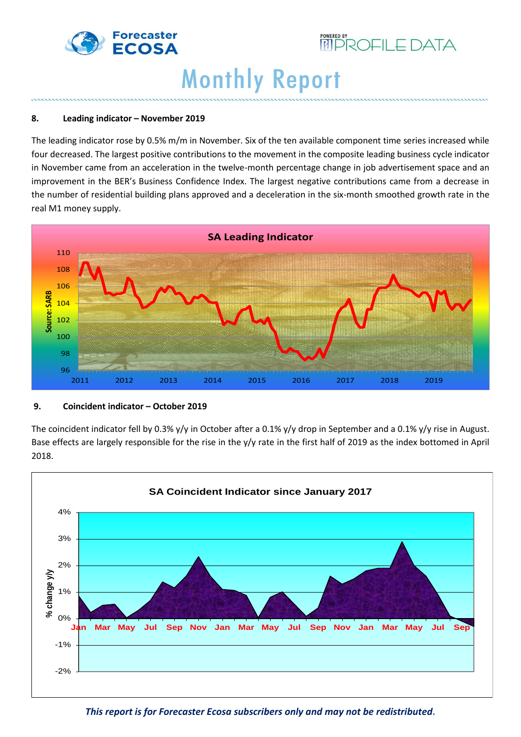



#### **8. Leading indicator – November 2019**

The leading indicator rose by 0.5% m/m in November. Six of the ten available component time series increased while four decreased. The largest positive contributions to the movement in the composite leading business cycle indicator in November came from an acceleration in the twelve-month percentage change in job advertisement space and an improvement in the BER's Business Confidence Index. The largest negative contributions came from a decrease in the number of residential building plans approved and a deceleration in the six-month smoothed growth rate in the real M1 money supply.



#### **9. Coincident indicator – October 2019**

The coincident indicator fell by 0.3% y/y in October after a 0.1% y/y drop in September and a 0.1% y/y rise in August. Base effects are largely responsible for the rise in the y/y rate in the first half of 2019 as the index bottomed in April 2018.